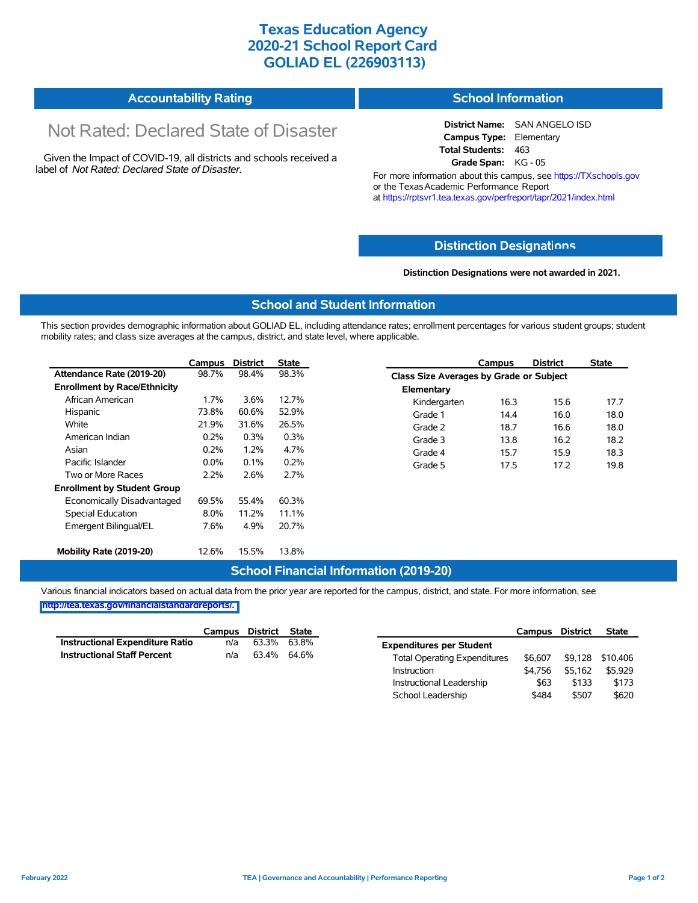## **Texas Education Agency 2020-21 School Report Card GOLIAD EL (226903113)**

| Accountability Rating | <b>School Information</b> |
|-----------------------|---------------------------|
|-----------------------|---------------------------|

# Not Rated: Declared State of Disaster

Given the Impact of COVID-19, all districts and schools received a label of *Not Rated: Declared State of Disaster.*

**District Name:** SAN ANGELO ISD **Campus Type:** Elementary **Total Students:** 463 **Grade Span:** KG - 05

For more information about this campus, see https://TXschools.gov or the Texas Academic Performance Report at https://rptsvr1.tea.texas.gov/perfreport/tapr/2021/index.html

#### **Distinction Designat[ions](https://TXschools.gov)**

**Distinction Designations were not awarded in 2021.**

School Leadership  $$484$  \$507 \$620

#### **School and Student Information**

This section provides demographic information about GOLIAD EL, including attendance rates; enrollment percentages for various student groups; student mobility rates; and class size averages at the campus, district, and state level, where applicable.

|                                     | Campus  | <b>District</b> | <b>State</b> |              | Campus                                  | <b>District</b> | <b>State</b> |  |
|-------------------------------------|---------|-----------------|--------------|--------------|-----------------------------------------|-----------------|--------------|--|
| Attendance Rate (2019-20)           | 98.7%   | 98.4%           | 98.3%        |              | Class Size Averages by Grade or Subject |                 |              |  |
| <b>Enrollment by Race/Ethnicity</b> |         |                 |              | Elementary   |                                         |                 |              |  |
| African American                    | 1.7%    | 3.6%            | 12.7%        | Kindergarten | 16.3                                    | 15.6            | 17.7         |  |
| Hispanic                            | 73.8%   | 60.6%           | 52.9%        | Grade 1      | 14.4                                    | 16.0            | 18.0         |  |
| White                               | 21.9%   | 31.6%           | 26.5%        | Grade 2      | 18.7                                    | 16.6            | 18.0         |  |
| American Indian                     | 0.2%    | 0.3%            | 0.3%         | Grade 3      | 13.8                                    | 16.2            | 18.2         |  |
| Asian                               | 0.2%    | 1.2%            | 4.7%         | Grade 4      | 15.7                                    | 15.9            | 18.3         |  |
| Pacific Islander                    | $0.0\%$ | 0.1%            | 0.2%         | Grade 5      | 17.5                                    | 17.2            | 19.8         |  |
| Two or More Races                   | 2.2%    | 2.6%            | 2.7%         |              |                                         |                 |              |  |
| <b>Enrollment by Student Group</b>  |         |                 |              |              |                                         |                 |              |  |
| Economically Disadvantaged          | 69.5%   | 55.4%           | 60.3%        |              |                                         |                 |              |  |
| Special Education                   | $8.0\%$ | 11.2%           | 11.1%        |              |                                         |                 |              |  |
| Emergent Bilingual/EL               | 7.6%    | 4.9%            | 20.7%        |              |                                         |                 |              |  |
|                                     |         |                 |              |              |                                         |                 |              |  |
| Mobility Rate (2019-20)             | 12.6%   | 15.5%           | 13.8%        |              |                                         |                 |              |  |

#### **School Financial Information (2019-20)**

Various financial indicators based on actual data from the prior year are reported for the campus, district, and state. For more information, see

**[http://tea.texas.gov/financialstandardreports/.](http://tea.texas.gov/financialstandardreports/)**

|                                        | Campus | District | State       |                                     | Campus  | <b>District</b> | <b>State</b>     |
|----------------------------------------|--------|----------|-------------|-------------------------------------|---------|-----------------|------------------|
| <b>Instructional Expenditure Ratio</b> | n/a    | 63.3%    | 63.8%       | <b>Expenditures per Student</b>     |         |                 |                  |
| <b>Instructional Staff Percent</b>     | n/a    |          | 63.4% 64.6% | <b>Total Operating Expenditures</b> | \$6.607 |                 | \$9,128 \$10,406 |
|                                        |        |          |             | Instruction                         | \$4.756 | \$5.162         | \$5,929          |
|                                        |        |          |             | Instructional Leadership            | \$63    | \$133           | \$173            |